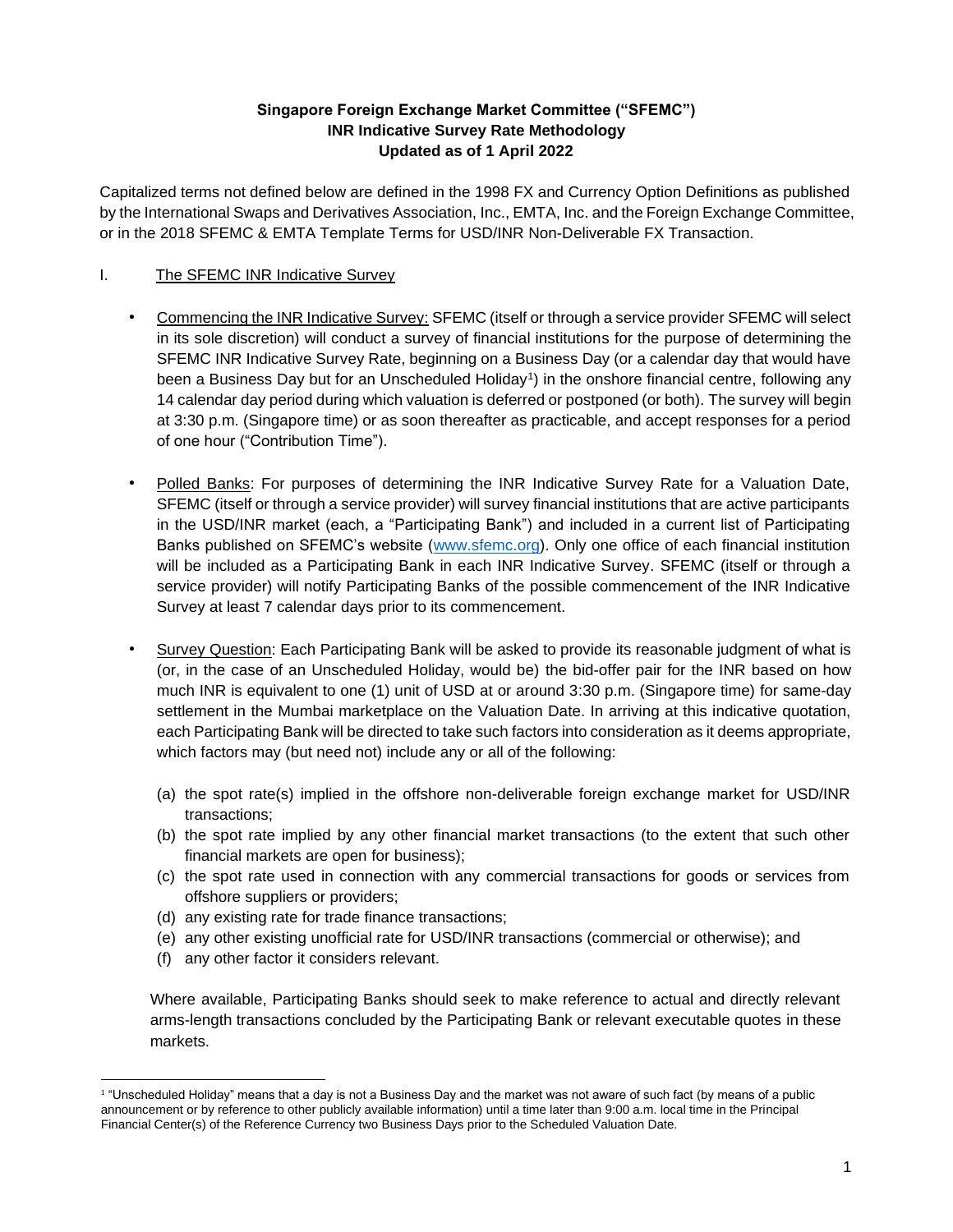## **Singapore Foreign Exchange Market Committee ("SFEMC") INR Indicative Survey Rate Methodology Updated as of 1 April 2022**

Capitalized terms not defined below are defined in the 1998 FX and Currency Option Definitions as published by the International Swaps and Derivatives Association, Inc., EMTA, Inc. and the Foreign Exchange Committee, or in the 2018 SFEMC & EMTA Template Terms for USD/INR Non-Deliverable FX Transaction.

# I. The SFEMC INR Indicative Survey

- Commencing the INR Indicative Survey: SFEMC (itself or through a service provider SFEMC will select in its sole discretion) will conduct a survey of financial institutions for the purpose of determining the SFEMC INR Indicative Survey Rate, beginning on a Business Day (or a calendar day that would have been a Business Day but for an Unscheduled Holiday<sup>1</sup>) in the onshore financial centre, following any 14 calendar day period during which valuation is deferred or postponed (or both). The survey will begin at 3:30 p.m. (Singapore time) or as soon thereafter as practicable, and accept responses for a period of one hour ("Contribution Time").
- Polled Banks: For purposes of determining the INR Indicative Survey Rate for a Valuation Date, SFEMC (itself or through a service provider) will survey financial institutions that are active participants in the USD/INR market (each, a "Participating Bank") and included in a current list of Participating Banks published on SFEMC's website [\(www.sfemc.org\)](http://www.sfemc.org/). Only one office of each financial institution will be included as a Participating Bank in each INR Indicative Survey. SFEMC (itself or through a service provider) will notify Participating Banks of the possible commencement of the INR Indicative Survey at least 7 calendar days prior to its commencement.
- Survey Question: Each Participating Bank will be asked to provide its reasonable judgment of what is (or, in the case of an Unscheduled Holiday, would be) the bid-offer pair for the INR based on how much INR is equivalent to one (1) unit of USD at or around 3:30 p.m. (Singapore time) for same-day settlement in the Mumbai marketplace on the Valuation Date. In arriving at this indicative quotation, each Participating Bank will be directed to take such factors into consideration as it deems appropriate, which factors may (but need not) include any or all of the following:
	- (a) the spot rate(s) implied in the offshore non-deliverable foreign exchange market for USD/INR transactions;
	- (b) the spot rate implied by any other financial market transactions (to the extent that such other financial markets are open for business);
	- (c) the spot rate used in connection with any commercial transactions for goods or services from offshore suppliers or providers;
	- (d) any existing rate for trade finance transactions;
	- (e) any other existing unofficial rate for USD/INR transactions (commercial or otherwise); and
	- (f) any other factor it considers relevant.

Where available, Participating Banks should seek to make reference to actual and directly relevant arms-length transactions concluded by the Participating Bank or relevant executable quotes in these markets.

<sup>1</sup> "Unscheduled Holiday" means that a day is not a Business Day and the market was not aware of such fact (by means of a public announcement or by reference to other publicly available information) until a time later than 9:00 a.m. local time in the Principal Financial Center(s) of the Reference Currency two Business Days prior to the Scheduled Valuation Date.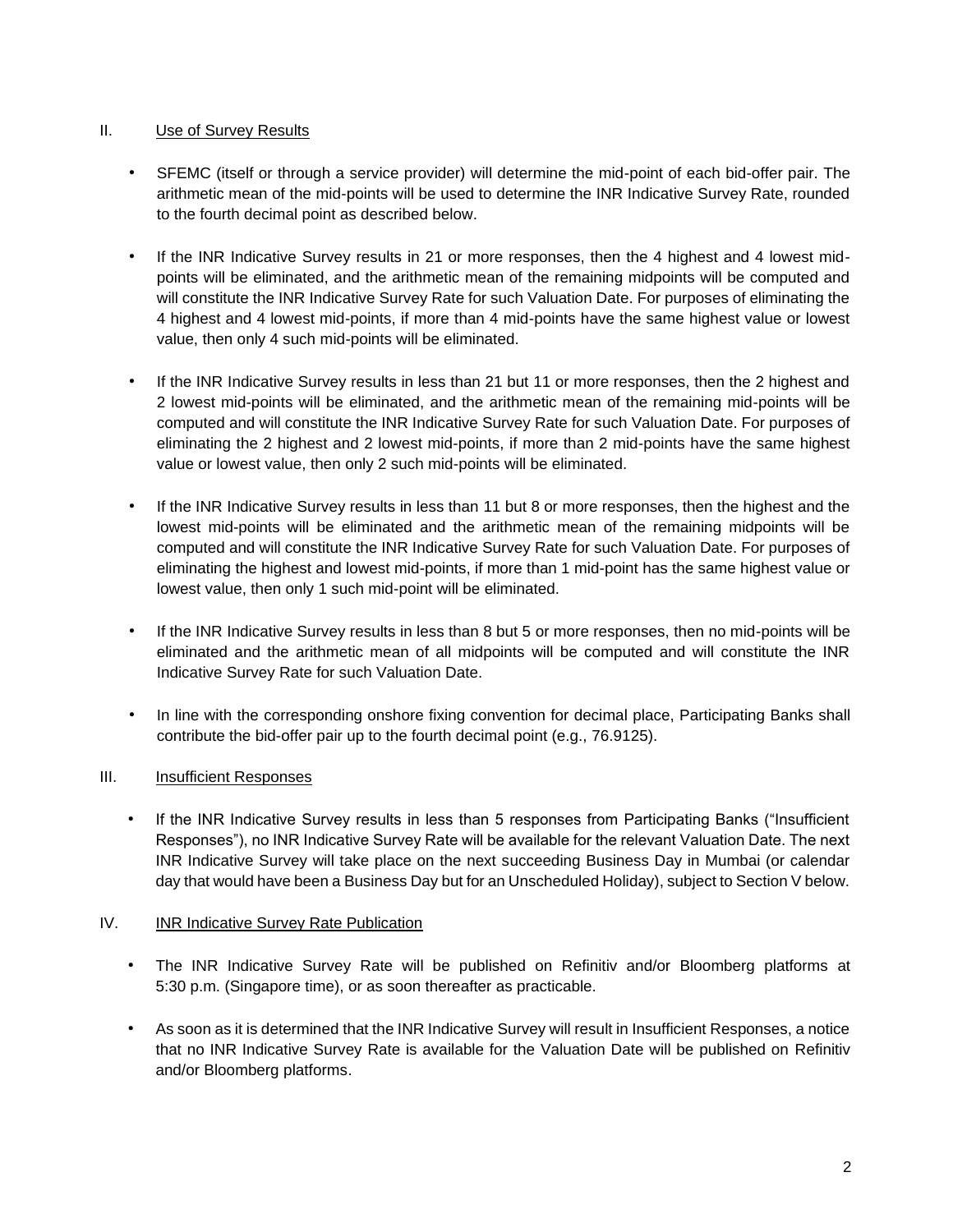### II. Use of Survey Results

- SFEMC (itself or through a service provider) will determine the mid-point of each bid-offer pair. The arithmetic mean of the mid-points will be used to determine the INR Indicative Survey Rate, rounded to the fourth decimal point as described below.
- If the INR Indicative Survey results in 21 or more responses, then the 4 highest and 4 lowest midpoints will be eliminated, and the arithmetic mean of the remaining midpoints will be computed and will constitute the INR Indicative Survey Rate for such Valuation Date. For purposes of eliminating the 4 highest and 4 lowest mid-points, if more than 4 mid-points have the same highest value or lowest value, then only 4 such mid-points will be eliminated.
- If the INR Indicative Survey results in less than 21 but 11 or more responses, then the 2 highest and 2 lowest mid-points will be eliminated, and the arithmetic mean of the remaining mid-points will be computed and will constitute the INR Indicative Survey Rate for such Valuation Date. For purposes of eliminating the 2 highest and 2 lowest mid-points, if more than 2 mid-points have the same highest value or lowest value, then only 2 such mid-points will be eliminated.
- If the INR Indicative Survey results in less than 11 but 8 or more responses, then the highest and the lowest mid-points will be eliminated and the arithmetic mean of the remaining midpoints will be computed and will constitute the INR Indicative Survey Rate for such Valuation Date. For purposes of eliminating the highest and lowest mid-points, if more than 1 mid-point has the same highest value or lowest value, then only 1 such mid-point will be eliminated.
- If the INR Indicative Survey results in less than 8 but 5 or more responses, then no mid-points will be eliminated and the arithmetic mean of all midpoints will be computed and will constitute the INR Indicative Survey Rate for such Valuation Date.
- In line with the corresponding onshore fixing convention for decimal place, Participating Banks shall contribute the bid-offer pair up to the fourth decimal point (e.g., 76.9125).

# III. Insufficient Responses

If the INR Indicative Survey results in less than 5 responses from Participating Banks ("Insufficient Responses"), no INR Indicative Survey Rate will be available for the relevant Valuation Date. The next INR Indicative Survey will take place on the next succeeding Business Day in Mumbai (or calendar day that would have been a Business Day but for an Unscheduled Holiday), subject to Section V below.

#### IV. INR Indicative Survey Rate Publication

- The INR Indicative Survey Rate will be published on Refinitiv and/or Bloomberg platforms at 5:30 p.m. (Singapore time), or as soon thereafter as practicable.
- As soon as it is determined that the INR Indicative Survey will result in Insufficient Responses, a notice that no INR Indicative Survey Rate is available for the Valuation Date will be published on Refinitiv and/or Bloomberg platforms.